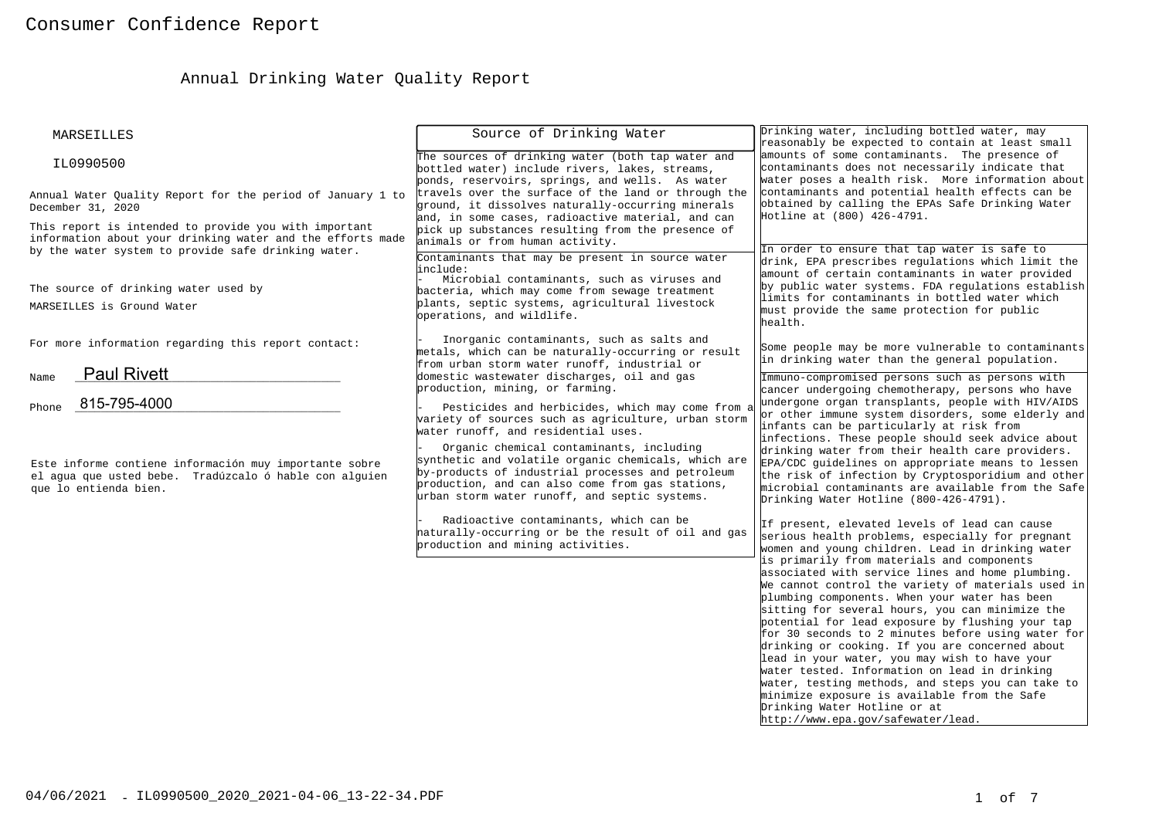# Annual Drinking Water Quality Report

| MARSEILLES                                                                                                                                                                 | Source of Drinking Water                                                                                                                                                                                                                                                                         | Drinking water, including bottled water, may<br>reasonably be expected to contain at least small                                                                                                                                                                                                                                                                                                                                                                                                                                                                                                                                                                                                   |
|----------------------------------------------------------------------------------------------------------------------------------------------------------------------------|--------------------------------------------------------------------------------------------------------------------------------------------------------------------------------------------------------------------------------------------------------------------------------------------------|----------------------------------------------------------------------------------------------------------------------------------------------------------------------------------------------------------------------------------------------------------------------------------------------------------------------------------------------------------------------------------------------------------------------------------------------------------------------------------------------------------------------------------------------------------------------------------------------------------------------------------------------------------------------------------------------------|
| IL0990500                                                                                                                                                                  | The sources of drinking water (both tap water and<br>bottled water) include rivers, lakes, streams,<br>ponds, reservoirs, springs, and wells. As water                                                                                                                                           | amounts of some contaminants. The presence of<br>contaminants does not necessarily indicate that<br>water poses a health risk. More information about                                                                                                                                                                                                                                                                                                                                                                                                                                                                                                                                              |
| Annual Water Quality Report for the period of January 1 to<br>December 31, 2020                                                                                            | travels over the surface of the land or through the<br>ground, it dissolves naturally-occurring minerals<br>and, in some cases, radioactive material, and can                                                                                                                                    | contaminants and potential health effects can be<br>obtained by calling the EPAs Safe Drinking Water<br>Hotline at (800) 426-4791.                                                                                                                                                                                                                                                                                                                                                                                                                                                                                                                                                                 |
| This report is intended to provide you with important<br>information about your drinking water and the efforts made<br>by the water system to provide safe drinking water. | pick up substances resulting from the presence of<br>animals or from human activity.                                                                                                                                                                                                             | In order to ensure that tap water is safe to                                                                                                                                                                                                                                                                                                                                                                                                                                                                                                                                                                                                                                                       |
| The source of drinking water used by<br>MARSEILLES is Ground Water                                                                                                         | Contaminants that may be present in source water<br>linclude:<br>Microbial contaminants, such as viruses and<br>bacteria, which may come from sewage treatment<br>plants, septic systems, agricultural livestock<br>bperations, and wildlife.                                                    | drink, EPA prescribes regulations which limit the<br>amount of certain contaminants in water provided<br>by public water systems. FDA requlations establish<br>limits for contaminants in bottled water which<br>must provide the same protection for public<br>health.                                                                                                                                                                                                                                                                                                                                                                                                                            |
| For more information regarding this report contact:                                                                                                                        | Inorganic contaminants, such as salts and<br>metals, which can be naturally-occurring or result<br>from urban storm water runoff, industrial or                                                                                                                                                  | Some people may be more vulnerable to contaminants<br>in drinking water than the general population.                                                                                                                                                                                                                                                                                                                                                                                                                                                                                                                                                                                               |
| <b>Paul Rivett</b><br>Name<br>815-795-4000<br>Phone                                                                                                                        | domestic wastewater discharges, oil and gas<br>production, mining, or farming.<br>Pesticides and herbicides, which may come from a<br>variety of sources such as agriculture, urban storm                                                                                                        | Immuno-compromised persons such as persons with<br>cancer undergoing chemotherapy, persons who have<br>undergone organ transplants, people with HIV/AIDS<br>or other immune system disorders, some elderly and                                                                                                                                                                                                                                                                                                                                                                                                                                                                                     |
| Este informe contiene información muy importante sobre<br>el aqua que usted bebe. Tradúzcalo ó hable con alquien<br>que lo entienda bien.                                  | water runoff, and residential uses.<br>Organic chemical contaminants, including<br>synthetic and volatile organic chemicals, which are<br>by-products of industrial processes and petroleum<br>production, and can also come from gas stations,<br>urban storm water runoff, and septic systems. | infants can be particularly at risk from<br>infections. These people should seek advice about<br>drinking water from their health care providers.<br>EPA/CDC guidelines on appropriate means to lessen<br>the risk of infection by Cryptosporidium and other<br>microbial contaminants are available from the Safe<br>Drinking Water Hotline (800-426-4791).                                                                                                                                                                                                                                                                                                                                       |
|                                                                                                                                                                            | Radioactive contaminants, which can be<br>haturally-occurring or be the result of oil and gas<br>production and mining activities.                                                                                                                                                               | If present, elevated levels of lead can cause<br>serious health problems, especially for pregnant<br>women and young children. Lead in drinking water                                                                                                                                                                                                                                                                                                                                                                                                                                                                                                                                              |
|                                                                                                                                                                            |                                                                                                                                                                                                                                                                                                  | is primarily from materials and components<br>associated with service lines and home plumbing.<br>We cannot control the variety of materials used in<br>plumbing components. When your water has been<br>sitting for several hours, you can minimize the<br>potential for lead exposure by flushing your tap<br>for 30 seconds to 2 minutes before using water for<br>drinking or cooking. If you are concerned about<br>lead in your water, you may wish to have your<br>water tested. Information on lead in drinking<br>water, testing methods, and steps you can take to<br>minimize exposure is available from the Safe<br>Drinking Water Hotline or at<br>http://www.epa.gov/safewater/lead. |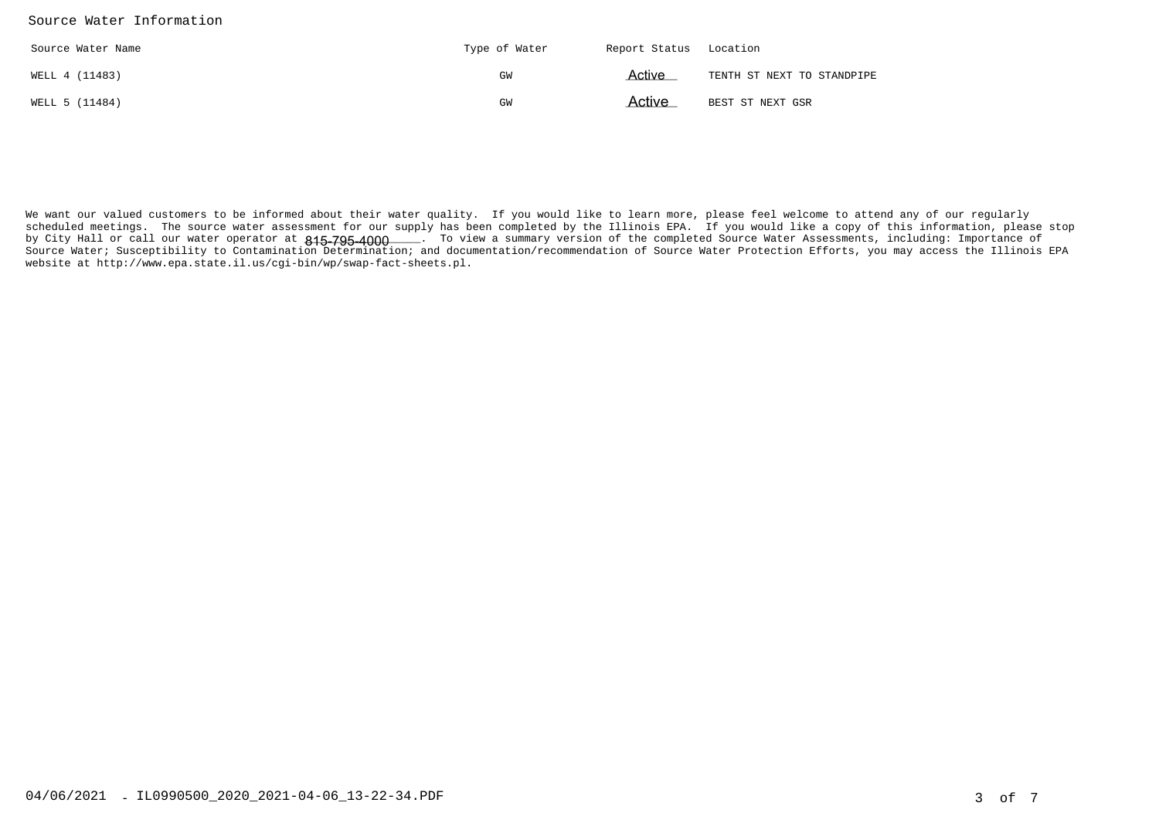#### Source Water Information

| Source Water Name | Type of Water | Report Status Location |                            |
|-------------------|---------------|------------------------|----------------------------|
| WELL 4 (11483)    | GW            | Active                 | TENTH ST NEXT TO STANDPIPE |
| WELL 5 (11484)    | GW            | Active                 | BEST ST NEXT GSR           |

We want our valued customers to be informed about their water quality. If you would like to learn more, please feel welcome to attend any of our regularly scheduled meetings. The source water assessment for our supply has been completed by the Illinois EPA. If you would like a copy of this information, please stopby City Hall or call our water operator at **815–795–4000**\_\_\_\_. To view a summary version of the completed Source Water Assessments, including: Importance of Source Water; Susceptibility to Contamination Determination; and documentation/recommendation of Source Water Protection Efforts, you may access the Illinois EPAwebsite at http://www.epa.state.il.us/cgi-bin/wp/swap-fact-sheets.pl.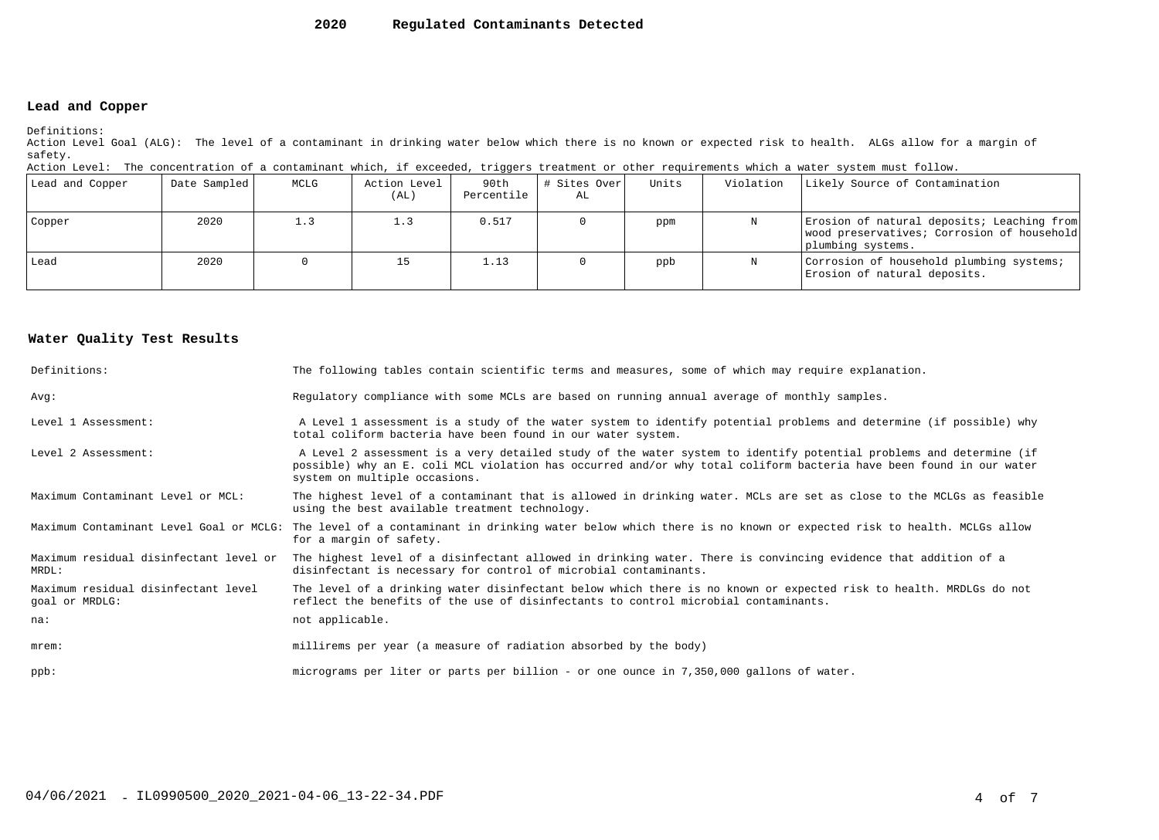#### **2020Regulated Contaminants Detected**

### **Lead and Copper**

Definitions:

 Action Level Goal (ALG): The level of a contaminant in drinking water below which there is no known or expected risk to health. ALGs allow for a margin ofsafety.

| Action Level: The concentration of a contaminant which, if exceeded, triggers treatment or other requirements which a water system must follow. |  |  |  |
|-------------------------------------------------------------------------------------------------------------------------------------------------|--|--|--|
|                                                                                                                                                 |  |  |  |

| Lead and Copper | Date Sampled | MCLG | Action Level<br>(AL) | 90th<br>Percentile | # Sites Over<br>AL | Units | Violation | Likely Source of Contamination                                                                                |
|-----------------|--------------|------|----------------------|--------------------|--------------------|-------|-----------|---------------------------------------------------------------------------------------------------------------|
| Copper          | 2020         | 1.3  | 1.3                  | 0.517              |                    | ppm   | N         | Erosion of natural deposits; Leaching from<br>wood preservatives; Corrosion of household<br>plumbing systems. |
| l Lead          | 2020         |      |                      | 1.13               |                    | ppb   | N         | Corrosion of household plumbing systems;<br>Erosion of natural deposits.                                      |

#### **Water Quality Test Results**

| Definitions:                                          | The following tables contain scientific terms and measures, some of which may require explanation.                                                                                                                                                                         |
|-------------------------------------------------------|----------------------------------------------------------------------------------------------------------------------------------------------------------------------------------------------------------------------------------------------------------------------------|
| Avq:                                                  | Regulatory compliance with some MCLs are based on running annual average of monthly samples.                                                                                                                                                                               |
| Level 1 Assessment:                                   | A Level 1 assessment is a study of the water system to identify potential problems and determine (if possible) why<br>total coliform bacteria have been found in our water system.                                                                                         |
| Level 2 Assessment:                                   | A Level 2 assessment is a very detailed study of the water system to identify potential problems and determine (if<br>possible) why an E. coli MCL violation has occurred and/or why total coliform bacteria have been found in our water<br>system on multiple occasions. |
| Maximum Contaminant Level or MCL:                     | The highest level of a contaminant that is allowed in drinking water. MCLs are set as close to the MCLGs as feasible<br>using the best available treatment technology.                                                                                                     |
|                                                       | Maximum Contaminant Level Goal or MCLG: The level of a contaminant in drinking water below which there is no known or expected risk to health. MCLGs allow<br>for a margin of safety.                                                                                      |
| Maximum residual disinfectant level or<br>MRDL:       | The highest level of a disinfectant allowed in drinking water. There is convincing evidence that addition of a<br>disinfectant is necessary for control of microbial contaminants.                                                                                         |
| Maximum residual disinfectant level<br>goal or MRDLG: | The level of a drinking water disinfectant below which there is no known or expected risk to health. MRDLGs do not<br>reflect the benefits of the use of disinfectants to control microbial contaminants.                                                                  |
| na:                                                   | not applicable.                                                                                                                                                                                                                                                            |
| $m$ rem:                                              | millirems per year (a measure of radiation absorbed by the body)                                                                                                                                                                                                           |
| $ppb$ :                                               | micrograms per liter or parts per billion - or one ounce in 7,350,000 gallons of water.                                                                                                                                                                                    |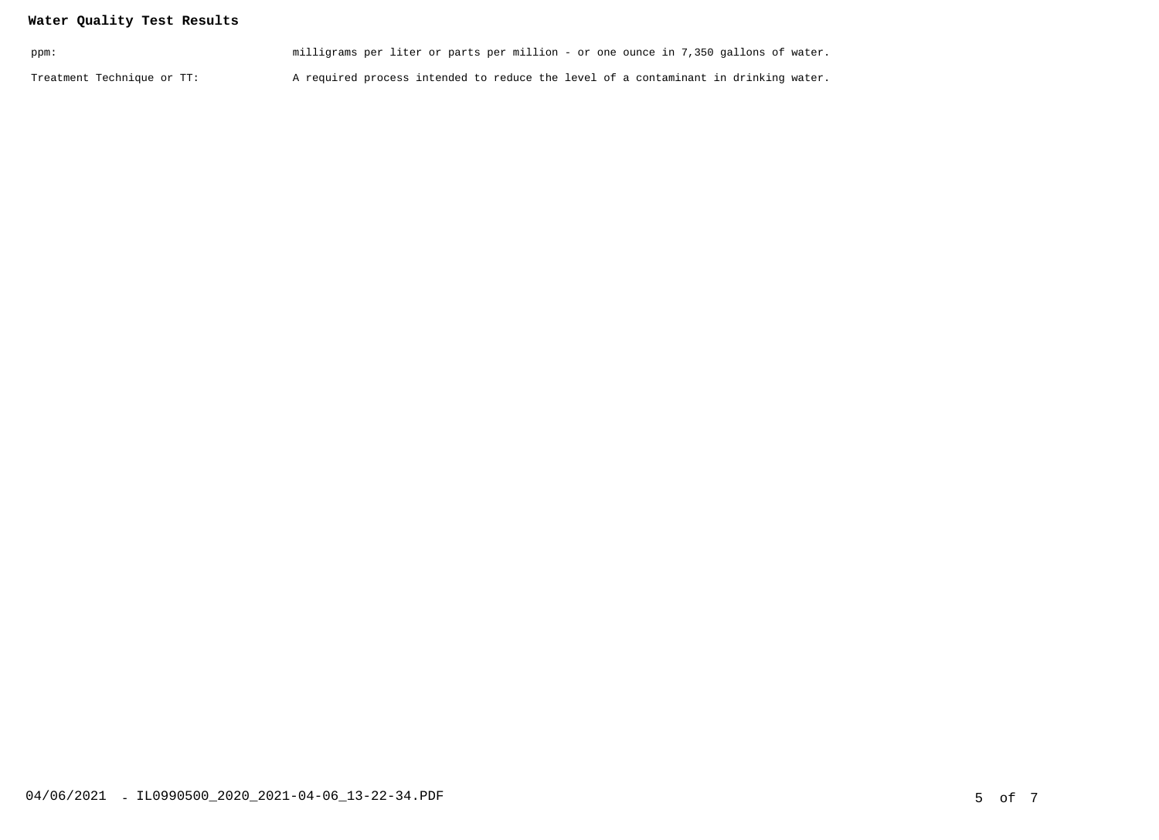## **Water Quality Test Results**

| ppm:                       | milligrams per liter or parts per million - or one ounce in 7,350 gallons of water. |  |
|----------------------------|-------------------------------------------------------------------------------------|--|
| Treatment Technique or TT: | A required process intended to reduce the level of a contaminant in drinking water. |  |